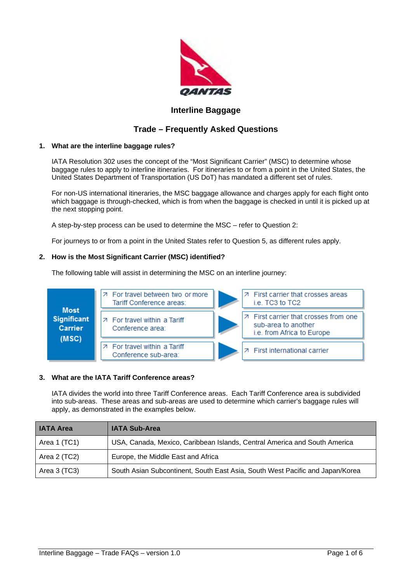

## **Interline Baggage**

# **Trade – Frequently Asked Questions**

## **1. What are the interline baggage rules?**

IATA Resolution 302 uses the concept of the "Most Significant Carrier" (MSC) to determine whose baggage rules to apply to interline itineraries. For itineraries to or from a point in the United States, the United States Department of Transportation (US DoT) has mandated a different set of rules.

For non-US international itineraries, the MSC baggage allowance and charges apply for each flight onto which baggage is through-checked, which is from when the baggage is checked in until it is picked up at the next stopping point.

A step-by-step process can be used to determine the MSC – refer to Question 2:

For journeys to or from a point in the United States refer to Question 5, as different rules apply.

## **2. How is the Most Significant Carrier (MSC) identified?**

The following table will assist in determining the MSC on an interline journey:



## **3. What are the IATA Tariff Conference areas?**

IATA divides the world into three Tariff Conference areas. Each Tariff Conference area is subdivided into sub-areas. These areas and sub-areas are used to determine which carrier's baggage rules will apply, as demonstrated in the examples below.

| <b>I IATA Area</b> | <b>IATA Sub-Area</b>                                                          |
|--------------------|-------------------------------------------------------------------------------|
| Area 1 (TC1)       | USA, Canada, Mexico, Caribbean Islands, Central America and South America     |
| Area 2 (TC2)       | Europe, the Middle East and Africa                                            |
| Area 3 (TC3)       | South Asian Subcontinent, South East Asia, South West Pacific and Japan/Korea |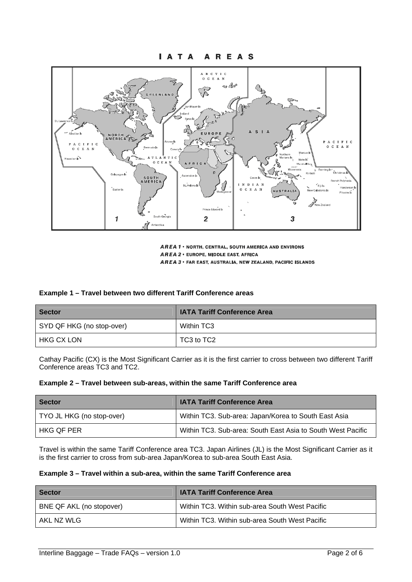



**AREA 1 . NORTH, CENTRAL, SOUTH AMERICA AND ENVIRONS** AREA 2 . EUROPE, MIDDLE EAST, AFRICA AREA 3 · FAR EAST, AUSTRALIA, NEW ZEALAND, PACIFIC ISLANDS

| Example 1 - Travel between two different Tariff Conference areas |
|------------------------------------------------------------------|
|------------------------------------------------------------------|

| <b>Sector</b>             | <b>IATA Tariff Conference Area</b> |
|---------------------------|------------------------------------|
| SYD QF HKG (no stop-over) | Within TC3                         |
| HKG CX LON                | TC3 to TC2                         |

Cathay Pacific (CX) is the Most Significant Carrier as it is the first carrier to cross between two different Tariff Conference areas TC3 and TC2.

| Example 2 – Travel between sub-areas, within the same Tariff Conference area |  |  |
|------------------------------------------------------------------------------|--|--|
|------------------------------------------------------------------------------|--|--|

| <b>Sector</b>             | <b>IATA Tariff Conference Area</b>                          |
|---------------------------|-------------------------------------------------------------|
| TYO JL HKG (no stop-over) | Within TC3. Sub-area: Japan/Korea to South East Asia        |
| HKG OF PER                | Within TC3. Sub-area: South East Asia to South West Pacific |

Travel is within the same Tariff Conference area TC3. Japan Airlines (JL) is the Most Significant Carrier as it is the first carrier to cross from sub-area Japan/Korea to sub-area South East Asia.

| <b>Sector</b>            | <b>IATA Tariff Conference Area</b>             |
|--------------------------|------------------------------------------------|
| BNE QF AKL (no stopover) | Within TC3. Within sub-area South West Pacific |
| AKL NZ WLG               | Within TC3. Within sub-area South West Pacific |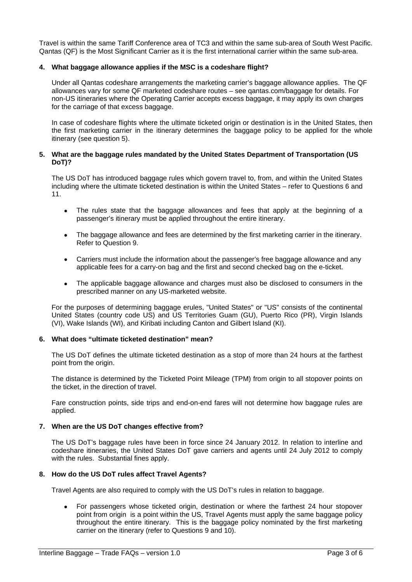Travel is within the same Tariff Conference area of TC3 and within the same sub-area of South West Pacific. Qantas (QF) is the Most Significant Carrier as it is the first international carrier within the same sub-area.

## **4. What baggage allowance applies if the MSC is a codeshare flight?**

Under all Qantas codeshare arrangements the marketing carrier's baggage allowance applies. The QF allowances vary for some QF marketed codeshare routes – see qantas.com/baggage for details. For non-US itineraries where the Operating Carrier accepts excess baggage, it may apply its own charges for the carriage of that excess baggage.

In case of codeshare flights where the ultimate ticketed origin or destination is in the United States, then the first marketing carrier in the itinerary determines the baggage policy to be applied for the whole itinerary (see question 5).

#### **5. What are the baggage rules mandated by the United States Department of Transportation (US DoT)?**

The US DoT has introduced baggage rules which govern travel to, from, and within the United States including where the ultimate ticketed destination is within the United States – refer to Questions 6 and 11.

- The rules state that the baggage allowances and fees that apply at the beginning of a passenger's itinerary must be applied throughout the entire itinerary.
- - The baggage allowance and fees are determined by the first marketing carrier in the itinerary. Refer to Question 9.
- - Carriers must include the information about the passenger's free baggage allowance and any applicable fees for a carry-on bag and the first and second checked bag on the e-ticket.
- The applicable baggage allowance and charges must also be disclosed to consumers in the prescribed manner on any US-marketed website.

For the purposes of determining baggage erules, "United States" or "US" consists of the continental United States (country code US) and US Territories Guam (GU), Puerto Rico (PR), Virgin Islands (VI), Wake Islands (WI), and Kiribati including Canton and Gilbert Island (KI).

#### **6. What does "ultimate ticketed destination" mean?**

The US DoT defines the ultimate ticketed destination as a stop of more than 24 hours at the farthest point from the origin.

The distance is determined by the Ticketed Point Mileage (TPM) from origin to all stopover points on the ticket, in the direction of travel.

Fare construction points, side trips and end-on-end fares will not determine how baggage rules are applied.

#### **7. When are the US DoT changes effective from?**

The US DoT's baggage rules have been in force since 24 January 2012. In relation to interline and codeshare itineraries, the United States DoT gave carriers and agents until 24 July 2012 to comply with the rules. Substantial fines apply.

## **8. How do the US DoT rules affect Travel Agents?**

Travel Agents are also required to comply with the US DoT's rules in relation to baggage.

- For passengers whose ticketed origin, destination or where the farthest 24 hour stopover point from origin is a point within the US, Travel Agents must apply the same baggage policy throughout the entire itinerary. This is the baggage policy nominated by the first marketing carrier on the itinerary (refer to Questions 9 and 10).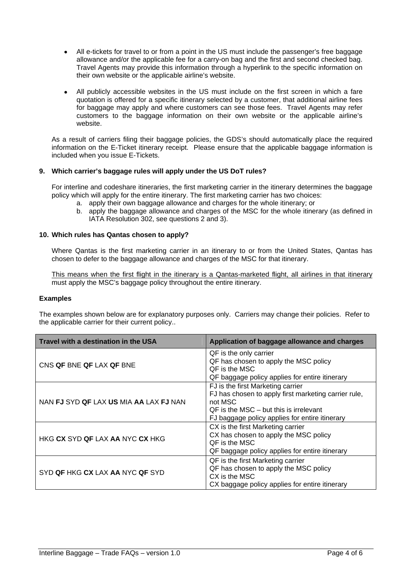- - All e-tickets for travel to or from a point in the US must include the passenger's free baggage allowance and/or the applicable fee for a carry-on bag and the first and second checked bag. Travel Agents may provide this information through a hyperlink to the specific information on their own website or the applicable airline's website.
- - All publicly accessible websites in the US must include on the first screen in which a fare quotation is offered for a specific itinerary selected by a customer, that additional airline fees for baggage may apply and where customers can see those fees. Travel Agents may refer customers to the baggage information on their own website or the applicable airline's website.

As a result of carriers filing their baggage policies, the GDS's should automatically place the required information on the E-Ticket itinerary receipt. Please ensure that the applicable baggage information is included when you issue E-Tickets.

## **9. Which carrier's baggage rules will apply under the US DoT rules?**

For interline and codeshare itineraries, the first marketing carrier in the itinerary determines the baggage policy which will apply for the entire itinerary. The first marketing carrier has two choices:

- a. apply their own baggage allowance and charges for the whole itinerary; or
- b. apply the baggage allowance and charges of the MSC for the whole itinerary (as defined in IATA Resolution 302, see questions 2 and 3).

## **10. Which rules has Qantas chosen to apply?**

Where Qantas is the first marketing carrier in an itinerary to or from the United States, Qantas has chosen to defer to the baggage allowance and charges of the MSC for that itinerary.

This means when the first flight in the itinerary is a Qantas-marketed flight, all airlines in that itinerary must apply the MSC's baggage policy throughout the entire itinerary.

#### **Examples**

The examples shown below are for explanatory purposes only. Carriers may change their policies. Refer to the applicable carrier for their current policy..

| Travel with a destination in the USA                 | Application of baggage allowance and charges                                                                                                                                                         |
|------------------------------------------------------|------------------------------------------------------------------------------------------------------------------------------------------------------------------------------------------------------|
| CNS QF BNE QF LAX QF BNE                             | QF is the only carrier<br>QF has chosen to apply the MSC policy<br>QF is the MSC<br>QF baggage policy applies for entire itinerary                                                                   |
| NAN FJ SYD QF LAX US MIA AA LAX FJ NAN               | FJ is the first Marketing carrier<br>FJ has chosen to apply first marketing carrier rule,<br>not MSC<br>$QF$ is the MSC $-$ but this is irrelevant<br>FJ baggage policy applies for entire itinerary |
| HKG <b>CX</b> SYD <b>QF</b> LAX AA NYC <b>CX</b> HKG | CX is the first Marketing carrier<br>CX has chosen to apply the MSC policy<br>QF is the MSC<br>QF baggage policy applies for entire itinerary                                                        |
| SYD <b>QF</b> HKG <b>CX</b> LAX AA NYC <b>QF</b> SYD | QF is the first Marketing carrier<br>QF has chosen to apply the MSC policy<br>CX is the MSC<br>CX baggage policy applies for entire itinerary                                                        |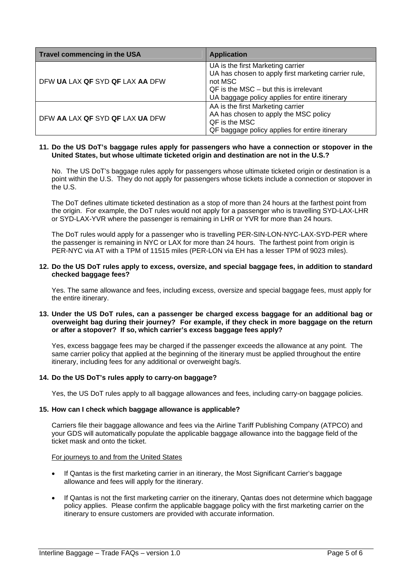| Travel commencing in the USA    | <b>Application</b>                                                                                                                                                                                   |
|---------------------------------|------------------------------------------------------------------------------------------------------------------------------------------------------------------------------------------------------|
| DFW UA LAX QF SYD QF LAX AA DFW | UA is the first Marketing carrier<br>UA has chosen to apply first marketing carrier rule,<br>not MSC<br>$QF$ is the MSC $-$ but this is irrelevant<br>UA baggage policy applies for entire itinerary |
| DEW AA LAX QF SYD QF LAX UA DEW | AA is the first Marketing carrier<br>AA has chosen to apply the MSC policy<br>QF is the MSC<br>QF baggage policy applies for entire itinerary                                                        |

#### **11. Do the US DoT's baggage rules apply for passengers who have a connection or stopover in the United States, but whose ultimate ticketed origin and destination are not in the U.S.?**

No. The US DoT's baggage rules apply for passengers whose ultimate ticketed origin or destination is a point within the U.S. They do not apply for passengers whose tickets include a connection or stopover in the U.S.

The DoT defines ultimate ticketed destination as a stop of more than 24 hours at the farthest point from the origin. For example, the DoT rules would not apply for a passenger who is travelling SYD-LAX-LHR or SYD-LAX-YVR where the passenger is remaining in LHR or YVR for more than 24 hours.

The DoT rules would apply for a passenger who is travelling PER-SIN-LON-NYC-LAX-SYD-PER where the passenger is remaining in NYC or LAX for more than 24 hours. The farthest point from origin is PER-NYC via AT with a TPM of 11515 miles (PER-LON via EH has a lesser TPM of 9023 miles).

#### **12. Do the US DoT rules apply to excess, oversize, and special baggage fees, in addition to standard checked baggage fees?**

Yes. The same allowance and fees, including excess, oversize and special baggage fees, must apply for the entire itinerary.

## **13. Under the US DoT rules, can a passenger be charged excess baggage for an additional bag or overweight bag during their journey? For example, if they check in more baggage on the return or after a stopover? If so, which carrier's excess baggage fees apply?**

Yes, excess baggage fees may be charged if the passenger exceeds the allowance at any point. The same carrier policy that applied at the beginning of the itinerary must be applied throughout the entire itinerary, including fees for any additional or overweight bag/s.

## **14. Do the US DoT's rules apply to carry-on baggage?**

Yes, the US DoT rules apply to all baggage allowances and fees, including carry-on baggage policies.

#### **15. How can I check which baggage allowance is applicable?**

Carriers file their baggage allowance and fees via the Airline Tariff Publishing Company (ATPCO) and your GDS will automatically populate the applicable baggage allowance into the baggage field of the ticket mask and onto the ticket.

#### For journeys to and from the United States

- - If Qantas is the first marketing carrier in an itinerary, the Most Significant Carrier's baggage allowance and fees will apply for the itinerary.
- - If Qantas is not the first marketing carrier on the itinerary, Qantas does not determine which baggage policy applies. Please confirm the applicable baggage policy with the first marketing carrier on the itinerary to ensure customers are provided with accurate information.